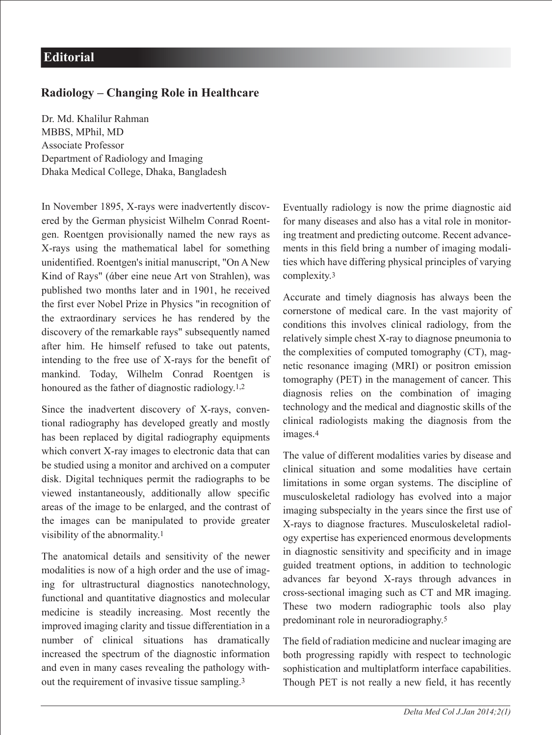## **Radiology – Changing Role in Healthcare**

Dr. Md. Khalilur Rahman MBBS, MPhil, MD Associate Professor Department of Radiology and Imaging Dhaka Medical College, Dhaka, Bangladesh

In November 1895, X-rays were inadvertently discovered by the German physicist Wilhelm Conrad Roentgen. Roentgen provisionally named the new rays as X-rays using the mathematical label for something unidentified. Roentgen's initial manuscript, "On A New Kind of Rays" (άber eine neue Art von Strahlen), was published two months later and in 1901, he received the first ever Nobel Prize in Physics "in recognition of the extraordinary services he has rendered by the discovery of the remarkable rays" subsequently named after him. He himself refused to take out patents, intending to the free use of X-rays for the benefit of mankind. Today, Wilhelm Conrad Roentgen is honoured as the father of diagnostic radiology.1,2

Since the inadvertent discovery of X-rays, conventional radiography has developed greatly and mostly has been replaced by digital radiography equipments which convert X-ray images to electronic data that can be studied using a monitor and archived on a computer disk. Digital techniques permit the radiographs to be viewed instantaneously, additionally allow specific areas of the image to be enlarged, and the contrast of the images can be manipulated to provide greater visibility of the abnormality.1

The anatomical details and sensitivity of the newer modalities is now of a high order and the use of imaging for ultrastructural diagnostics nanotechnology, functional and quantitative diagnostics and molecular medicine is steadily increasing. Most recently the improved imaging clarity and tissue differentiation in a number of clinical situations has dramatically increased the spectrum of the diagnostic information and even in many cases revealing the pathology without the requirement of invasive tissue sampling.3

Eventually radiology is now the prime diagnostic aid for many diseases and also has a vital role in monitoring treatment and predicting outcome. Recent advancements in this field bring a number of imaging modalities which have differing physical principles of varying complexity.3

Accurate and timely diagnosis has always been the cornerstone of medical care. In the vast majority of conditions this involves clinical radiology, from the relatively simple chest X-ray to diagnose pneumonia to the complexities of computed tomography (CT), magnetic resonance imaging (MRI) or positron emission tomography (PET) in the management of cancer. This diagnosis relies on the combination of imaging technology and the medical and diagnostic skills of the clinical radiologists making the diagnosis from the images.4

The value of different modalities varies by disease and clinical situation and some modalities have certain limitations in some organ systems. The discipline of musculoskeletal radiology has evolved into a major imaging subspecialty in the years since the first use of X-rays to diagnose fractures. Musculoskeletal radiology expertise has experienced enormous developments in diagnostic sensitivity and specificity and in image guided treatment options, in addition to technologic advances far beyond X-rays through advances in cross-sectional imaging such as CT and MR imaging. These two modern radiographic tools also play predominant role in neuroradiography.5

The field of radiation medicine and nuclear imaging are both progressing rapidly with respect to technologic sophistication and multiplatform interface capabilities. Though PET is not really a new field, it has recently